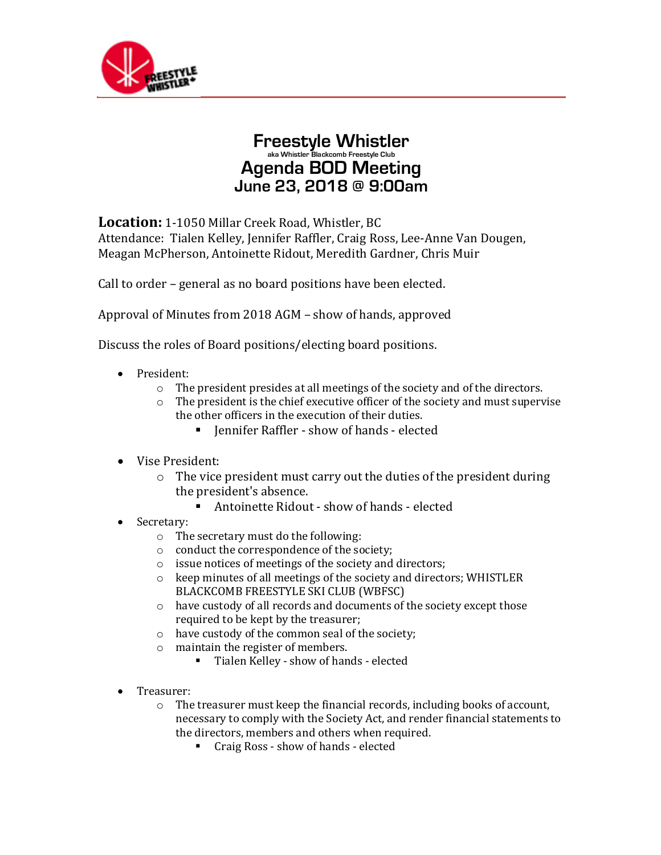

## **Freestyle Whistler aka Whistler Blackcomb Freestyle Club Agenda BOD Meeting June 23, 2018 @ 9:00am**

**Location:** 1-1050 Millar Creek Road, Whistler, BC Attendance: Tialen Kelley, Jennifer Raffler, Craig Ross, Lee-Anne Van Dougen, Meagan McPherson, Antoinette Ridout, Meredith Gardner, Chris Muir

Call to order - general as no board positions have been elected.

Approval of Minutes from 2018 AGM - show of hands, approved

Discuss the roles of Board positions/electing board positions.

- President:
	- $\circ$  The president presides at all meetings of the society and of the directors.
	- The president is the chief executive officer of the society and must supervise the other officers in the execution of their duties.
		- Jennifer Raffler show of hands elected
- Vise President:
	- $\circ$  The vice president must carry out the duties of the president during the president's absence.
		- $\blacksquare$  Antoinette Ridout show of hands elected
- Secretary:
	- $\circ$  The secretary must do the following:
	- $\circ$  conduct the correspondence of the society;
	- $\circ$  issue notices of meetings of the society and directors;
	- $\circ$  keep minutes of all meetings of the society and directors; WHISTLER BLACKCOMB FREESTYLE SKI CLUB (WBFSC)
	- o have custody of all records and documents of the society except those required to be kept by the treasurer;
	- $\circ$  have custody of the common seal of the society;
	- $\circ$  maintain the register of members.
		- Tialen Kelley show of hands elected
- Treasurer:
	- $\circ$  The treasurer must keep the financial records, including books of account, necessary to comply with the Society Act, and render financial statements to the directors, members and others when required.
		- Craig Ross show of hands elected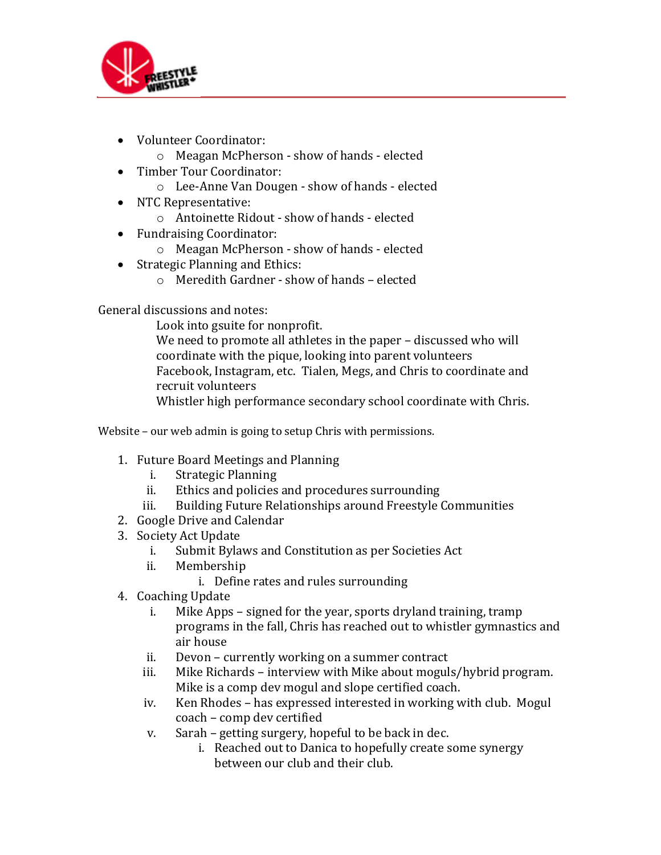

- Volunteer Coordinator:
	- o Meagan McPherson show of hands elected
- Timber Tour Coordinator:
	- o Lee-Anne Van Dougen show of hands elected
- NTC Representative:
	- o Antoinette Ridout show of hands elected
- Fundraising Coordinator:
	- o Meagan McPherson show of hands elected
- Strategic Planning and Ethics:
	- $\circ$  Meredith Gardner show of hands elected

General discussions and notes:

Look into gsuite for nonprofit.

We need to promote all athletes in the paper - discussed who will coordinate with the pique, looking into parent volunteers Facebook, Instagram, etc. Tialen, Megs, and Chris to coordinate and recruit volunteers

Whistler high performance secondary school coordinate with Chris.

Website  $-$  our web admin is going to setup Chris with permissions.

- 1. Future Board Meetings and Planning
	- i. Strategic Planning
	- ii. Ethics and policies and procedures surrounding
	- iii. Building Future Relationships around Freestyle Communities
- 2. Google Drive and Calendar
- 3. Society Act Update
	- i. Submit Bylaws and Constitution as per Societies Act
	- ii. Membership
		- i. Define rates and rules surrounding
- 4. Coaching Update
	- i. Mike Apps signed for the year, sports dryland training, tramp programs in the fall, Chris has reached out to whistler gymnastics and air house
	- ii. Devon currently working on a summer contract
	- iii. Mike Richards interview with Mike about moguls/hybrid program. Mike is a comp dev mogul and slope certified coach.
	- iv. Ken Rhodes has expressed interested in working with club. Mogul coach – comp dev certified
	- v. Sarah getting surgery, hopeful to be back in dec.
		- i. Reached out to Danica to hopefully create some synergy between our club and their club.